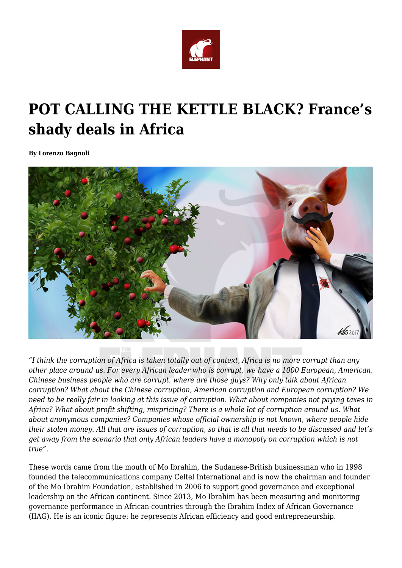

## **POT CALLING THE KETTLE BLACK? France's shady deals in Africa**

**By Lorenzo Bagnoli**



*"I think the corruption of Africa is taken totally out of context, Africa is no more corrupt than any other place around us. For every African leader who is corrupt, we have a 1000 European, American, Chinese business people who are corrupt, where are those guys? Why only talk about African corruption? What about the Chinese corruption, American corruption and European corruption? We need to be really fair in looking at this issue of corruption. What about companies not paying taxes in Africa? What about profit shifting, mispricing? There is a whole lot of corruption around us. What about anonymous companies? Companies whose official ownership is not known, where people hide their stolen money. All that are issues of corruption, so that is all that needs to be discussed and let's get away from the scenario that only African leaders have a monopoly on corruption which is not true".*

These words came from the mouth of Mo Ibrahim, the Sudanese-British businessman who in 1998 founded the telecommunications company Celtel International and is now the chairman and founder of the Mo Ibrahim Foundation, established in 2006 to support good governance and exceptional leadership on the African continent. Since 2013, Mo Ibrahim has been measuring and monitoring governance performance in African countries through the Ibrahim Index of African Governance (IIAG). He is an iconic figure: he represents African efficiency and good entrepreneurship.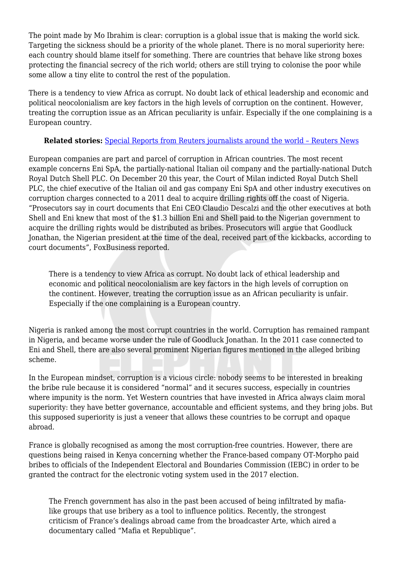The point made by Mo Ibrahim is clear: corruption is a global issue that is making the world sick. Targeting the sickness should be a priority of the whole planet. There is no moral superiority here: each country should blame itself for something. There are countries that behave like strong boxes protecting the financial secrecy of the rich world; others are still trying to colonise the poor while some allow a tiny elite to control the rest of the population.

There is a tendency to view Africa as corrupt. No doubt lack of ethical leadership and economic and political neocolonialism are key factors in the high levels of corruption on the continent. However, treating the corruption issue as an African peculiarity is unfair. Especially if the one complaining is a European country.

## **Related stories:** [Special Reports from Reuters journalists around the world – Reuters News](https://www.reuters.com/investigates/special-report/africa-passports-karaziwan)

European companies are part and parcel of corruption in African countries. The most recent example concerns Eni SpA, the partially-national Italian oil company and the partially-national Dutch Royal Dutch Shell PLC. On December 20 this year, the Court of Milan indicted Royal Dutch Shell PLC, the chief executive of the Italian oil and gas company Eni SpA and other industry executives on corruption charges connected to a 2011 deal to acquire drilling rights off the coast of Nigeria. "Prosecutors say in court documents that Eni CEO Claudio Descalzi and the other executives at both Shell and Eni knew that most of the \$1.3 billion Eni and Shell paid to the Nigerian government to acquire the drilling rights would be distributed as bribes. Prosecutors will argue that Goodluck Jonathan, the Nigerian president at the time of the deal, received part of the kickbacks, according to court documents", FoxBusiness reported.

There is a tendency to view Africa as corrupt. No doubt lack of ethical leadership and economic and political neocolonialism are key factors in the high levels of corruption on the continent. However, treating the corruption issue as an African peculiarity is unfair. Especially if the one complaining is a European country.

Nigeria is ranked among the most corrupt countries in the world. Corruption has remained rampant in Nigeria, and became worse under the rule of Goodluck Jonathan. In the 2011 case connected to Eni and Shell, there are also several prominent Nigerian figures mentioned in the alleged bribing scheme.

In the European mindset, corruption is a vicious circle: nobody seems to be interested in breaking the bribe rule because it is considered "normal" and it secures success, especially in countries where impunity is the norm. Yet Western countries that have invested in Africa always claim moral superiority: they have better governance, accountable and efficient systems, and they bring jobs. But this supposed superiority is just a veneer that allows these countries to be corrupt and opaque abroad.

France is globally recognised as among the most corruption-free countries. However, there are questions being raised in Kenya concerning whether the France-based company OT-Morpho paid bribes to officials of the Independent Electoral and Boundaries Commission (IEBC) in order to be granted the contract for the electronic voting system used in the 2017 election.

The French government has also in the past been accused of being infiltrated by mafialike groups that use bribery as a tool to influence politics. Recently, the strongest criticism of France's dealings abroad came from the broadcaster Arte, which aired a documentary called "Mafia et Republique".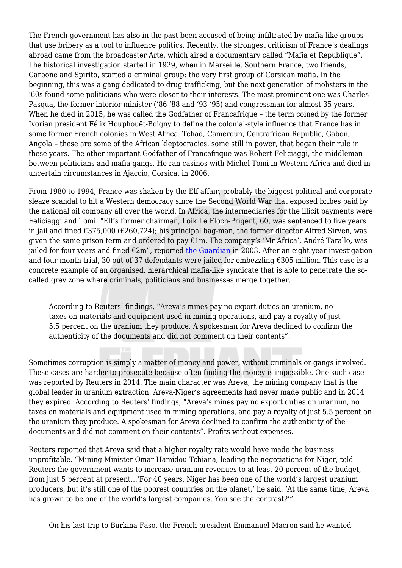The French government has also in the past been accused of being infiltrated by mafia-like groups that use bribery as a tool to influence politics. Recently, the strongest criticism of France's dealings abroad came from the broadcaster Arte, which aired a documentary called "Mafia et Republique". The historical investigation started in 1929, when in Marseille, Southern France, two friends, Carbone and Spirito, started a criminal group: the very first group of Corsican mafia. In the beginning, this was a gang dedicated to drug trafficking, but the next generation of mobsters in the '60s found some politicians who were closer to their interests. The most prominent one was Charles Pasqua, the former interior minister ('86-'88 and '93-'95) and congressman for almost 35 years. When he died in 2015, he was called the Godfather of Francafrique – the term coined by the former Ivorian president Félix Houphouët-Boigny to define the colonial-style influence that France has in some former French colonies in West Africa. Tchad, Cameroun, Centrafrican Republic, Gabon, Angola – these are some of the African kleptocracies, some still in power, that began their rule in these years. The other important Godfather of Francafrique was Robert Feliciaggi, the middleman between politicians and mafia gangs. He ran casinos with Michel Tomi in Western Africa and died in uncertain circumstances in Ajaccio, Corsica, in 2006.

From 1980 to 1994, France was shaken by the Elf affair, probably the biggest political and corporate sleaze scandal to hit a Western democracy since the Second World War that exposed bribes paid by the national oil company all over the world. In Africa, the intermediaries for the illicit payments were Feliciaggi and Tomi. "Elf's former chairman, Loik Le Floch-Prigent, 60, was sentenced to five years in jail and fined €375,000 (£260,724); his principal bag-man, the former director Alfred Sirven, was given the same prison term and ordered to pay €1m. The company's 'Mr Africa', André Tarallo, was jailed for four years and fined  $\epsilon 2m''$ , reporte[d the Guardian](https://www.theguardian.com/business/2003/nov/13/france.oilandpetrol) in 2003. After an eight-year investigation and four-month trial, 30 out of 37 defendants were jailed for embezzling €305 million. This case is a concrete example of an organised, hierarchical mafia-like syndicate that is able to penetrate the socalled grey zone where criminals, politicians and businesses merge together.

According to Reuters' findings, "Areva's mines pay no export duties on uranium, no taxes on materials and equipment used in mining operations, and pay a royalty of just 5.5 percent on the uranium they produce. A spokesman for Areva declined to confirm the authenticity of the documents and did not comment on their contents".

Sometimes corruption is simply a matter of money and power, without criminals or gangs involved. These cases are harder to prosecute because often finding the money is impossible. One such case was reported by Reuters in 2014. The main character was Areva, the mining company that is the global leader in uranium extraction. Areva-Niger's agreements had never made public and in 2014 they expired. According to Reuters' findings, "Areva's mines pay no export duties on uranium, no taxes on materials and equipment used in mining operations, and pay a royalty of just 5.5 percent on the uranium they produce. A spokesman for Areva declined to confirm the authenticity of the documents and did not comment on their contents". Profits without expenses.

Reuters reported that Areva said that a higher royalty rate would have made the business unprofitable. "Mining Minister Omar Hamidou Tchiana, leading the negotiations for Niger, told Reuters the government wants to increase uranium revenues to at least 20 percent of the budget, from just 5 percent at present…'For 40 years, Niger has been one of the world's largest uranium producers, but it's still one of the poorest countries on the planet,' he said. 'At the same time, Areva has grown to be one of the world's largest companies. You see the contrast?'".